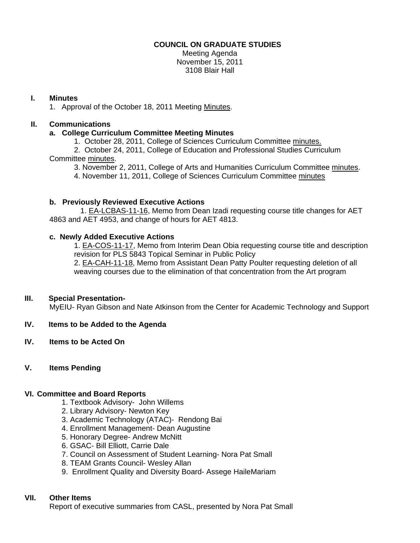## **COUNCIL ON GRADUATE STUDIES**

Meeting Agenda November 15, 2011 3108 Blair Hall

### **I. Minutes**

1. Approval of the October 18, 2011 Meetin[g Minutes.](http://castle.eiu.edu/eiucgs/currentminutes/Minutes10-18-11.pdf) 

# **II. Communications**

#### **a. College Curriculum Committee Meeting Minutes**

1. October 28, 2011, College of Sciences Curriculum Committ[ee minutes.](http://castle.eiu.edu/~eiucgs/currentagendaitems/COSMin10-28-11.pdf) 

 2. October 24, 2011, College of Education and Professional Studies Curriculum Committe[e minutes.](http://castle.eiu.edu/~eiucgs/currentagendaitems/CEPSMin10-24-11.pdf) 

3. November 2, 2011, College of Arts and Humanities Curriculum Committee [minutes.](http://castle.eiu.edu/~eiucgs/currentagendaitems/CAHMin11-2-11.pdf) 

4. November 11, 2011, College of Sciences Curriculum Committe[e minutes](http://castle.eiu.edu/~eiucgs/currentagendaitems/COSMin11-11-11.pdf) 

#### **b. Previously Reviewed Executive Actions**

[1. EA-LCBAS-11-16, M](http://castle.eiu.edu/~eiucgs/exec-actions/EA-LCBAS-11-16.pdf)emo from Dean Izadi requesting course title changes for AET 4863 and AET 4953, and change of hours for AET 4813.

#### **c. Newly Added Executive Actions**

[1. EA-COS-11-17, Mem](http://castle.eiu.edu/~eiucgs/exec-actions/EA-COS-11-17.pdf)o from Interim Dean Obia requesting course title and description revision for PLS 5843 Topical Seminar in Public Policy [2. EA-CAH-11-18, M](http://castle.eiu.edu/~eiucgs/exec-actions/EA-CAH-11-18.pdf)emo from Assistant Dean Patty Poulter requesting deletion of all

weaving courses due to the elimination of that concentration from the Art program

## **III. Special Presentation-**

MyEIU- Ryan Gibson and Nate Atkinson from the Center for Academic Technology and Support

- **IV. Items to be Added to the Agenda**
- **IV. Items to be Acted On**
- **V. Items Pending**

#### **VI. Committee and Board Reports**

- 1. Textbook Advisory- John Willems
- 2. Library Advisory- Newton Key
- 3. Academic Technology (ATAC)- Rendong Bai
- 4. Enrollment Management- Dean Augustine
- 5. Honorary Degree- Andrew McNitt
- 6. GSAC- Bill Elliott, Carrie Dale
- 7. Council on Assessment of Student Learning- Nora Pat Small
- 8. TEAM Grants Council- Wesley Allan
- 9. Enrollment Quality and Diversity Board- Assege HaileMariam

## **VII. Other Items**

Report of executive summaries from CASL, presented by Nora Pat Small